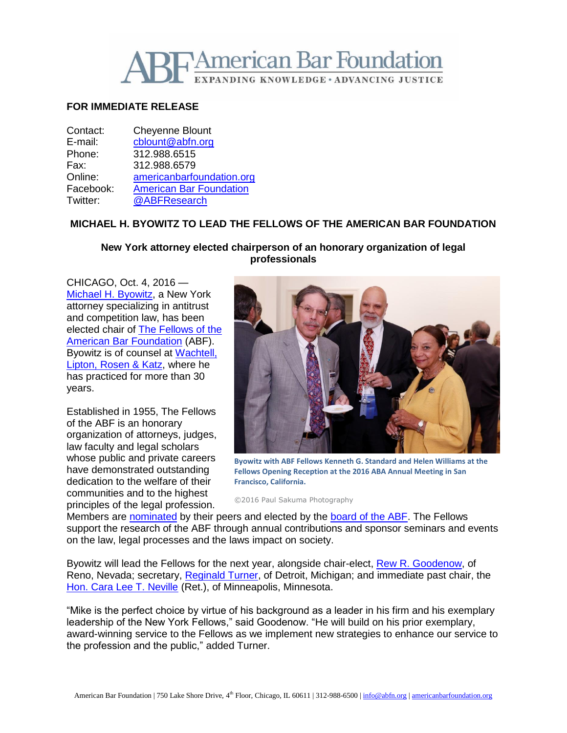

# **FOR IMMEDIATE RELEASE**

| Contact:  | <b>Cheyenne Blount</b>         |
|-----------|--------------------------------|
| E-mail:   | cblount@abfn.org               |
| Phone:    | 312.988.6515                   |
| Fax:      | 312.988.6579                   |
| Online:   | americanbarfoundation.org      |
| Facebook: | <b>American Bar Foundation</b> |
| Twitter:  | @ABFResearch                   |
|           |                                |

## **MICHAEL H. BYOWITZ TO LEAD THE FELLOWS OF THE AMERICAN BAR FOUNDATION**

#### **New York attorney elected chairperson of an honorary organization of legal professionals**

CHICAGO, Oct. 4, 2016 — [Michael H. Byowitz,](http://www.wlrk.com/MHByowitz/) a New York attorney specializing in antitrust and competition law, has been elected chair of [The Fellows of the](http://www.americanbarfoundation.org/fellows/index.html)  [American Bar Foundation](http://www.americanbarfoundation.org/fellows/index.html) (ABF). Byowitz is of counsel at [Wachtell,](http://www.wlrk.com/)  [Lipton, Rosen & Katz,](http://www.wlrk.com/) where he has practiced for more than 30 years.

Established in 1955, The Fellows of the ABF is an honorary organization of attorneys, judges, law faculty and legal scholars whose public and private careers have demonstrated outstanding dedication to the welfare of their communities and to the highest principles of the legal profession.



**Byowitz with ABF Fellows Kenneth G. Standard and Helen Williams at the Fellows Opening Reception at the 2016 ABA Annual Meeting in San Francisco, California.**

©2016 Paul Sakuma Photography

Members are [nominated](http://www.americanbarfoundation.org/fellows/Fellows_Nomination_Form.html) by their peers and elected by the [board of the ABF.](http://www.americanbarfoundation.org/about/Officersdirectors/Board_of_Directors0.html) The Fellows support the research of the ABF through annual contributions and sponsor seminars and events on the law, legal processes and the laws impact on society.

Byowitz will lead the Fellows for the next year, alongside chair-elect, [Rew R. Goodenow,](http://www.parsonsbehle.com/attorneys/rew-r-goodenow/) of Reno, Nevada; secretary, [Reginald Turner,](http://www.clarkhill.com/people/reginald-m-turner) of Detroit, Michigan; and immediate past chair, the [Hon. Cara Lee T. Neville](http://www.americanbarfoundation.org/about/Officersdirectors/Cara_Lee_Neville.html) (Ret.), of Minneapolis, Minnesota.

"Mike is the perfect choice by virtue of his background as a leader in his firm and his exemplary leadership of the New York Fellows," said Goodenow. "He will build on his prior exemplary, award-winning service to the Fellows as we implement new strategies to enhance our service to the profession and the public," added Turner.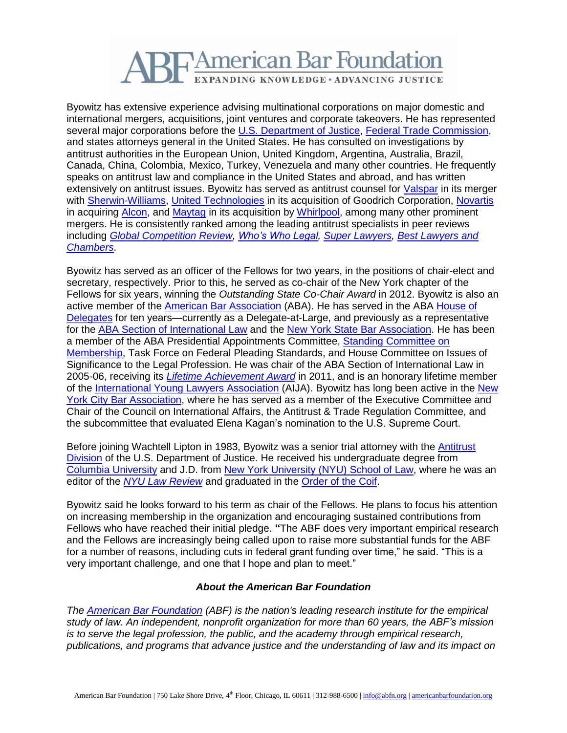

Byowitz has extensive experience advising multinational corporations on major domestic and international mergers, acquisitions, joint ventures and corporate takeovers. He has represented several major corporations before the [U.S. Department of Justice,](https://www.justice.gov/) [Federal Trade Commission,](https://www.ftc.gov/) and states attorneys general in the United States. He has consulted on investigations by antitrust authorities in the European Union, United Kingdom, Argentina, Australia, Brazil, Canada, China, Colombia, Mexico, Turkey, Venezuela and many other countries. He frequently speaks on antitrust law and compliance in the United States and abroad, and has written extensively on antitrust issues. Byowitz has served as antitrust counsel for [Valspar](http://www.valsparpaint.com/en/index.html) in its merger with [Sherwin-Williams,](http://www.sherwin-williams.com/) [United Technologies](http://www.utc.com/Pages/Home.aspx) in its acquisition of Goodrich Corporation, [Novartis](https://www.novartis.com/) in acquiring [Alcon,](https://www.alcon.com/) and [Maytag](http://www.maytag.com/) in its acquisition by [Whirlpool,](http://www.whirlpool.com/) among many other prominent mergers. He is consistently ranked among the leading antitrust specialists in peer reviews including *[Global Competition Review,](http://globalcompetitionreview.com/) [Who's Who Legal,](http://whoswholegal.com/) [Super Lawyers,](http://www.superlawyers.com/) [Best Lawyers](http://www.chambersandpartners.com/guide/usa/5) and [Chambers](http://www.chambersandpartners.com/guide/usa/5)*.

Byowitz has served as an officer of the Fellows for two years, in the positions of chair-elect and secretary, respectively. Prior to this, he served as co-chair of the New York chapter of the Fellows for six years, winning the *Outstanding State Co-Chair Award* in 2012. Byowitz is also an active member of the [American Bar Association](http://www.americanbar.org/) (ABA). He has served in the ABA [House of](http://www.americanbar.org/groups/leadership/house_of_delegates.html)  [Delegates](http://www.americanbar.org/groups/leadership/house_of_delegates.html) for ten years—currently as a Delegate-at-Large, and previously as a representative for the [ABA Section of International Law](http://www.americanbar.org/groups/international_law.html) and the New York [State Bar Association.](http://www.nysba.org/) He has been a member of the ABA Presidential Appointments Committee, [Standing Committee on](http://www.americanbar.org/groups/committees/scom.html)  [Membership,](http://www.americanbar.org/groups/committees/scom.html) Task Force on Federal Pleading Standards, and House Committee on Issues of Significance to the Legal Profession. He was chair of the ABA Section of International Law in 2005-06, receiving its *[Lifetime Achievement Award](http://www.americanbar.org/groups/international_law/section_awards.html)* in 2011, and is an honorary lifetime member of the [International Young Lawyers Association](http://www.aija.org/) (AIJA). Byowitz has long been active in the [New](http://www.nycbar.org/)  [York City Bar Association,](http://www.nycbar.org/) where he has served as a member of the Executive Committee and Chair of the Council on International Affairs, the Antitrust & Trade Regulation Committee, and the subcommittee that evaluated Elena Kagan's nomination to the U.S. Supreme Court.

Before joining Wachtell Lipton in 1983, Byowitz was a senior trial attorney with the [Antitrust](https://www.justice.gov/atr)  [Division](https://www.justice.gov/atr) of the U.S. Department of Justice. He received his undergraduate degree from [Columbia University](http://www.columbia.edu/) and J.D. from [New York University \(NYU\) School of Law,](http://www.law.nyu.edu/) where he was an editor of the *[NYU Law Review](http://www.nyulawreview.org/)* and graduated in the [Order of the Coif.](http://www.orderofthecoif.org/)

Byowitz said he looks forward to his term as chair of the Fellows. He plans to focus his attention on increasing membership in the organization and encouraging sustained contributions from Fellows who have reached their initial pledge. **"**The ABF does very important empirical research and the Fellows are increasingly being called upon to raise more substantial funds for the ABF for a number of reasons, including cuts in federal grant funding over time," he said. "This is a very important challenge, and one that I hope and plan to meet."

#### *About the American Bar Foundation*

*The [American Bar Foundation](http://www.americanbarfoundation.org/) (ABF) is the nation's leading research institute for the empirical study of law. An independent, nonprofit organization for more than 60 years, the ABF's mission is to serve the legal profession, the public, and the academy through empirical research, publications, and programs that advance justice and the understanding of law and its impact on*